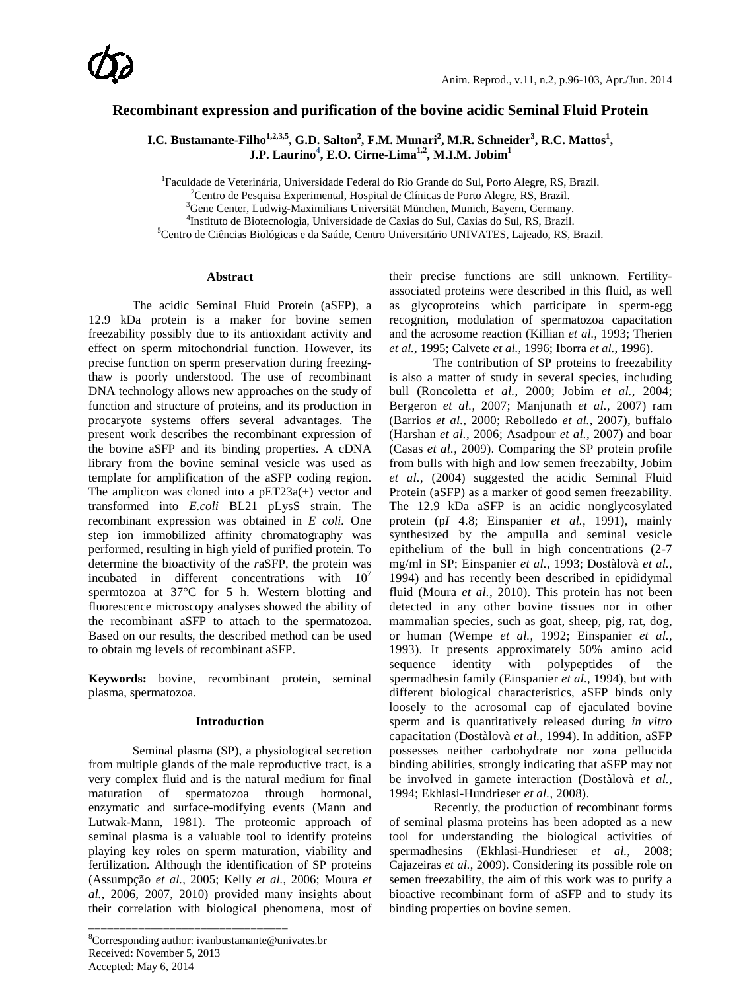# **Recombinant expression and purification of the bovine acidic Seminal Fluid Protein**

**I.C.** Bustamante-Filho<sup>1,2,3,5</sup>, G.D. Salton<sup>2</sup>, F.M. Munari<sup>2</sup>, M.R. Schneider<sup>3</sup>, R.C. Mattos<sup>1</sup>, **J.P. Laurino<sup>4</sup> , E.O. Cirne-Lima1,2, M.I.M. Jobim1**

<sup>1</sup> Faculdade de Veterinária, Universidade Federal do Rio Grande do Sul, Porto Alegre, RS, Brazil.<br><sup>2</sup> Centro de Pesquise Experimental, Hespital de Clínicas de Porto Alegre, PS, Brazil.

 ${}^{2}$ Centro de Pesquisa Experimental, Hospital de Clínicas de Porto Alegre, RS, Brazil.

<sup>3</sup>Gene Center, Ludwig-Maximilians Universität München, Munich, Bayern, Germany.

<sup>4</sup>Instituto de Biotecnologia, Universidade de Caxias do Sul, Caxias do Sul, RS, Brazil.

Centro de Ciências Biológicas e da Saúde, Centro Universitário UNIVATES, Lajeado, RS, Brazil.

#### **Abstract**

The acidic Seminal Fluid Protein (aSFP), a 12.9 kDa protein is a maker for bovine semen freezability possibly due to its antioxidant activity and effect on sperm mitochondrial function. However, its precise function on sperm preservation during freezingthaw is poorly understood. The use of recombinant DNA technology allows new approaches on the study of function and structure of proteins, and its production in procaryote systems offers several advantages. The present work describes the recombinant expression of the bovine aSFP and its binding properties. A cDNA library from the bovine seminal vesicle was used as template for amplification of the aSFP coding region. The amplicon was cloned into a pET23a(+) vector and transformed into *E.coli* BL21 pLysS strain. The recombinant expression was obtained in *E coli.* One step ion immobilized affinity chromatography was performed, resulting in high yield of purified protein. To determine the bioactivity of the *r*aSFP, the protein was incubated in different concentrations with  $10<sup>7</sup>$ spermtozoa at 37°C for 5 h. Western blotting and fluorescence microscopy analyses showed the ability of the recombinant aSFP to attach to the spermatozoa. Based on our results, the described method can be used to obtain mg levels of recombinant aSFP.

**Keywords:** bovine, recombinant protein, seminal plasma, spermatozoa.

### **Introduction**

Seminal plasma (SP), a physiological secretion from multiple glands of the male reproductive tract, is a very complex fluid and is the natural medium for final maturation of spermatozoa through hormonal, enzymatic and surface-modifying events [\(Mann and](#page-6-0)  [Lutwak-Mann, 1981\)](#page-6-0). The proteomic approach of seminal plasma is a valuable tool to identify proteins playing key roles on sperm maturation, viability and fertilization. Although the identification of SP proteins [\(Assumpção](#page-5-0) *et al.*, 2005; Kelly *et al.*[, 2006;](#page-6-1) [Moura](#page-6-2) *et al.*[, 2006, 2007,](#page-6-2) 2010) provided many insights about their correlation with biological phenomena, most of

\_\_\_\_\_\_\_\_\_\_\_\_\_\_\_\_\_\_\_\_\_\_\_\_\_\_\_\_\_\_\_\_

their precise functions are still unknown. Fertilityassociated proteins were described in this fluid, as well as glycoproteins which participate in sperm-egg recognition, modulation of spermatozoa capacitation and the acrosome reaction [\(Killian](#page-6-3) *et al.*, 1993; [Therien](#page-7-0) *et al.*[, 1995;](#page-7-0) Calvete *et al.*, 1996; Iborra *et al.*[, 1996\)](#page-6-4).

The contribution of SP proteins to freezability is also a matter of study in several species, including bull [\(Roncoletta](#page-7-1) *et al.*, 2000; Jobim *et al.*[, 2004;](#page-6-5) [Bergeron](#page-5-1) *et al.*, 2007; [Manjunath](#page-6-6) *et al.*, 2007) ram [\(Barrios](#page-5-2) *et al.*, 2000; [Rebolledo](#page-6-7) *et al.*, 2007), buffalo [\(Harshan](#page-6-8) *et al.*, 2006; [Asadpour](#page-5-3) *et al.*, 2007) and boar (Casas *et al.*[, 2009\)](#page-6-9). Comparing the SP protein profile from bulls with high and low semen freezabilty, [Jobim](#page-6-5) *et al.*[, \(2004\)](#page-6-5) suggested the acidic Seminal Fluid Protein (aSFP) as a marker of good semen freezability. The 12.9 kDa aSFP is an acidic nonglycosylated protein (p*I* 4.8; Einspanier *et al.*, 1991), mainly synthesized by the ampulla and seminal vesicle epithelium of the bull in high concentrations (2-7 mg/ml in SP; [Einspanier](#page-6-10) *et al.*, 1993; [Dostàlovà](#page-6-11) *et al.*, [1994\)](#page-6-11) and has recently been described in epididymal fluid [\(Moura](#page-6-12) *et al.*, 2010). This protein has not been detected in any other bovine tissues nor in other mammalian species, such as goat, sheep, pig, rat, dog, or human [\(Wempe](#page-7-2) *et al.*, 1992; [Einspanier](#page-6-10) *et al.*, [1993\)](#page-6-10). It presents approximately 50% amino acid sequence identity with polypeptides of the spermadhesin family [\(Einspanier](#page-6-13) *et al.*, 1994), but with different biological characteristics, aSFP binds only loosely to the acrosomal cap of ejaculated bovine sperm and is quantitatively released during *in vitro* capacitation [\(Dostàlovà](#page-6-11) *et al.*, 1994). In addition, aSFP possesses neither carbohydrate nor zona pellucida binding abilities, strongly indicating that aSFP may not be involved in gamete interaction [\(Dostàlovà](#page-6-11) *et al.*, [1994;](#page-6-11) [Ekhlasi-Hundrieser](#page-6-14) *et al.*, 2008).

Recently, the production of recombinant forms of seminal plasma proteins has been adopted as a new tool for understanding the biological activities of spermadhesins [\(Ekhlasi-Hundrieser](#page-6-14) *et al.*, 2008; [Cajazeiras](#page-6-15) *et al.*, 2009). Considering its possible role on semen freezability, the aim of this work was to purify a bioactive recombinant form of aSFP and to study its binding properties on bovine semen.

<sup>8</sup> Corresponding author: ivanbustamante@univates.br Received: November 5, 2013 Accepted: May 6, 2014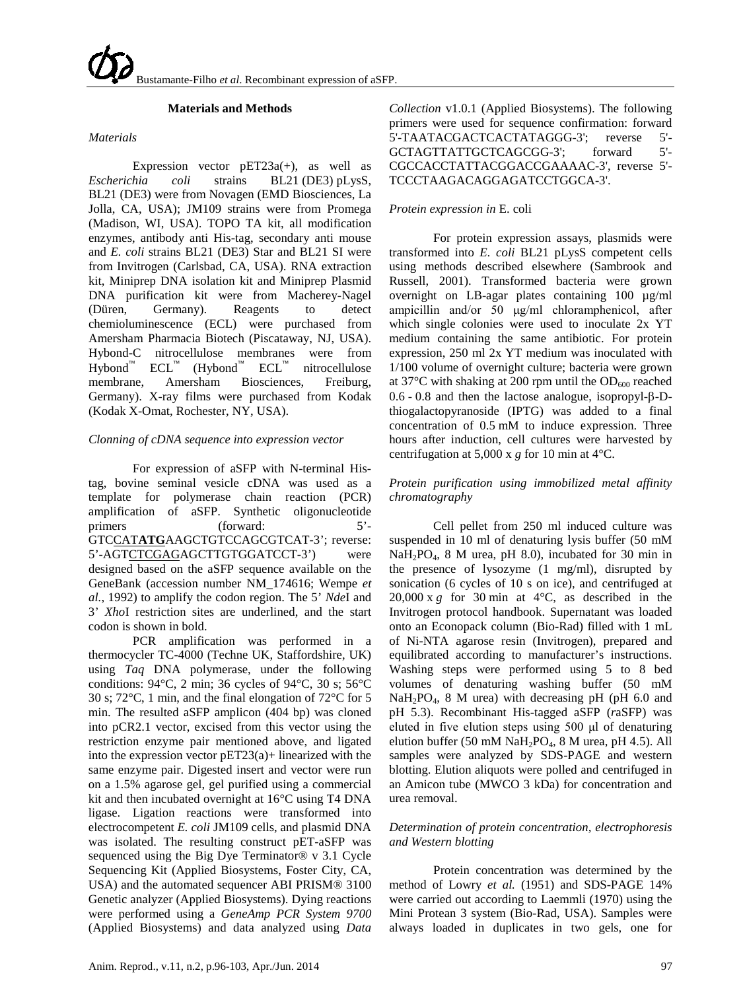### **Materials and Methods**

### *Materials*

Expression vector  $pET23a(+)$ , as well as *Escherichia coli* strains BL21 (DE3) pLysS, BL21 (DE3) were from Novagen (EMD Biosciences, La Jolla, CA, USA); JM109 strains were from Promega (Madison, WI, USA). TOPO TA kit, all modification enzymes, antibody anti His-tag, secondary anti mouse and *E. coli* strains BL21 (DE3) Star and BL21 SI were from Invitrogen (Carlsbad, CA, USA). RNA extraction kit, Miniprep DNA isolation kit and Miniprep Plasmid DNA purification kit were from Macherey-Nagel (Düren, Germany). Reagents to detect chemioluminescence (ECL) were purchased from Amersham Pharmacia Biotech (Piscataway, NJ, USA). Hybond-C nitrocellulose membranes were from  $Hybond^{\mathbb{M}}$   $ECL^{\mathbb{M}}$  (Hybond<sup> $\mathbb{M}$ </sup> ECL<sup> $\mathbb{M}$ </sup> nitrocellulose membrane, Amersham Biosciences, Freiburg, Germany). X-ray films were purchased from Kodak (Kodak X-Omat, Rochester, NY, USA).

## *Clonning of cDNA sequence into expression vector*

For expression of aSFP with N-terminal Histag, bovine seminal vesicle cDNA was used as a template for polymerase chain reaction (PCR) amplification of aSFP. Synthetic oligonucleotide primers (forward: 5'-GTCCAT**ATG**AAGCTGTCCAGCGTCAT-3'; reverse: 5'-AGTCTCGAGAGCTTGTGGATCCT-3') were GeneBank (accession number NM\_174616; [Wempe](#page-7-2) et *al.*[, 1992](#page-7-2) ) to amplify the codon region. The 5' *Nde*I and designed based on the aSFP sequence available on the 3' *Xho*I restriction sites are underlined, and the start codon is shown in bold.

PCR amplification was performed in a thermocycler TC-4000 (Techne UK, Staffordshire, UK) using *Taq* DNA polymerase, under the following conditions: 94°C, 2 min; 36 cycles of 94°C, 30 s; 56°C 30 s; 72°C, 1 min, and the final elongation of 72°C for 5 min. The resulted aSFP amplicon (404 bp) was cloned into pCR2.1 vector, excised from this vector using the restriction enzyme pair mentioned above, and ligated into the expression vector pET23(a)+ linearized with the same enzyme pair. Digested insert and vector were run on a 1.5% agarose gel, gel purified using a commercial kit and then incubated overnight at 16°C using T4 DNA ligase. Ligation reactions were transformed into electrocompetent *E. coli* JM109 cells, and plasmid DNA was isolated. The resulting construct pET-aSFP was sequenced using the Big Dye Terminator® v 3.1 Cycle Sequencing Kit (Applied Biosystems, Foster City, CA, USA) and the automated sequencer ABI PRISM® 3100 Genetic analyzer (Applied Biosystems). Dying reactions were performed using a *GeneAmp PCR System 9700* (Applied Biosystems) and data analyzed using *Data* 

*Collection* v1.0.1 (Applied Biosystems). The following primers were used for sequence confirmation: forward 5'-TAATACGACTCACTATAGGG-3'; reverse 5'- GCTAGTTATTGCTCAGCGG-3': forward 5'-CGCCACCTATTACGGACCGAAAAC-3', reverse 5'- TCCCTAAGACAGGAGATCCTGGCA-3'.

### *Protein expression in* E. coli

For protein expression assays, plasmids were transformed into *E. coli* BL21 pLysS competent cells using methods described elsewhere [\(Sambrook and](#page-7-3)  [Russell, 2001\)](#page-7-3). Transformed bacteria were grown overnight on LB-agar plates containing 100 µg/ml ampicillin and/or 50 μg/ml chloramphenicol, after which single colonies were used to inoculate 2x YT medium containing the same antibiotic. For protein expression, 250 ml 2x YT medium was inoculated with 1/100 volume of overnight culture; bacteria were grown at 37 $\rm{^{\circ}C}$  with shaking at 200 rpm until the OD<sub>600</sub> reached 0.6 - 0.8 and then the lactose analogue, isopropyl-β-Dthiogalactopyranoside (IPTG) was added to a final concentration of 0.5 mM to induce expression. Three hours after induction, cell cultures were harvested by centrifugation at 5,000 x *g* for 10 min at 4°C.

## *Protein purification using immobilized metal affinity chromatography*

Cell pellet from 250 ml induced culture was suspended in 10 ml of denaturing lysis buffer (50 mM  $NaH<sub>2</sub>PO<sub>4</sub>$ , 8 M urea, pH 8.0), incubated for 30 min in the presence of lysozyme (1 mg/ml), disrupted by sonication (6 cycles of 10 s on ice), and centrifuged at  $20,000 \times g$  for 30 min at 4<sup>°</sup>C, as described in the Invitrogen protocol handbook. Supernatant was loaded onto an Econopack column (Bio-Rad) filled with 1 mL of Ni-NTA agarose resin (Invitrogen), prepared and equilibrated according to manufacturer's instructions. Washing steps were performed using 5 to 8 bed volumes of denaturing washing buffer (50 mM  $NaH<sub>2</sub>PO<sub>4</sub>$ , 8 M urea) with decreasing pH (pH 6.0 and pH 5.3). Recombinant His-tagged aSFP (*r*aSFP) was eluted in five elution steps using 500 μl of denaturing elution buffer (50 mM  $NaH<sub>2</sub>PO<sub>4</sub>$ , 8 M urea, pH 4.5). All samples were analyzed by SDS-PAGE and western blotting. Elution aliquots were polled and centrifuged in an Amicon tube (MWCO 3 kDa) for concentration and urea removal.

## *Determination of protein concentration, electrophoresis and Western blotting*

Protein concentration was determined by the method of [Lowry](#page-6-16) *et al.* (1951) and SDS-PAGE 14% were carried out according to [Laemmli \(1970\)](#page-6-17) using the Mini Protean 3 system (Bio-Rad, USA). Samples were always loaded in duplicates in two gels, one for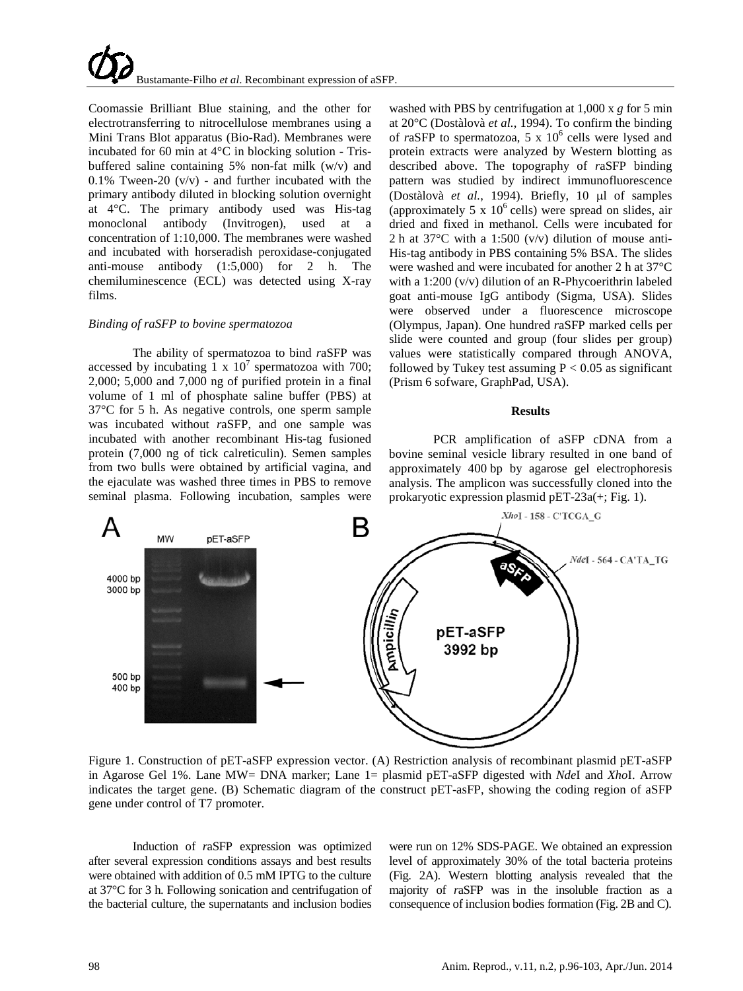Coomassie Brilliant Blue staining, and the other for electrotransferring to nitrocellulose membranes using a Mini Trans Blot apparatus (Bio-Rad). Membranes were incubated for 60 min at 4°C in blocking solution - Trisbuffered saline containing 5% non-fat milk (w/v) and 0.1% Tween-20  $(v/v)$  - and further incubated with the primary antibody diluted in blocking solution overnight at 4°C. The primary antibody used was His-tag monoclonal antibody (Invitrogen), used at a concentration of 1:10,000. The membranes were washed and incubated with horseradish peroxidase-conjugated anti-mouse antibody (1:5,000) for 2 h. The chemiluminescence (ECL) was detected using X-ray films.

### *Binding of raSFP to bovine spermatozoa*

The ability of spermatozoa to bind *r*aSFP was accessed by incubating 1 x  $10^7$  spermatozoa with 700; 2,000; 5,000 and 7,000 ng of purified protein in a final volume of 1 ml of phosphate saline buffer (PBS) at 37°C for 5 h. As negative controls, one sperm sample was incubated without *r*aSFP, and one sample was incubated with another recombinant His-tag fusioned protein (7,000 ng of tick calreticulin). Semen samples from two bulls were obtained by artificial vagina, and the ejaculate was washed three times in PBS to remove seminal plasma. Following incubation, samples were

washed with PBS by centrifugation at 1,000 x *g* for 5 min at 20°C (Dostàlovà *et al.*, 1994). To confirm the binding of  $r$ aSFP to spermatozoa, 5 x  $10^6$  cells were lysed and protein extracts were analyzed by Western blotting as described above. The topography of *r*aSFP binding pattern was studied by indirect immunofluorescence (Dostàlovà *et al.*, 1994). Briefly, 10 µl of samples (approximately 5 x  $10^6$  cells) were spread on slides, air dried and fixed in methanol. Cells were incubated for 2 h at 37°C with a 1:500 (v/v) dilution of mouse anti-His-tag antibody in PBS containing 5% BSA. The slides were washed and were incubated for another 2 h at 37°C with a 1:200 (v/v) dilution of an R-Phycoerithrin labeled goat anti-mouse IgG antibody (Sigma, USA). Slides were observed under a fluorescence microscope (Olympus, Japan). One hundred *r*aSFP marked cells per slide were counted and group (four slides per group) values were statistically compared through ANOVA, followed by Tukey test assuming  $P < 0.05$  as significant (Prism 6 sofware, GraphPad, USA).

### **Results**

PCR amplification of aSFP cDNA from a bovine seminal vesicle library resulted in one band of approximately 400 bp by agarose gel electrophoresis analysis. The amplicon was successfully cloned into the prokaryotic expression plasmid pET-23a(+; Fig. 1).



Figure 1. Construction of pET-aSFP expression vector. (A) Restriction analysis of recombinant plasmid pET-aSFP in Agarose Gel 1%. Lane MW= DNA marker; Lane 1= plasmid pET-aSFP digested with *Nde*I and *Xho*I. Arrow indicates the target gene. (B) Schematic diagram of the construct pET-asFP, showing the coding region of aSFP gene under control of T7 promoter.

Induction of *r*aSFP expression was optimized after several expression conditions assays and best results were obtained with addition of 0.5 mM IPTG to the culture at 37°C for 3 h. Following sonication and centrifugation of the bacterial culture, the supernatants and inclusion bodies

were run on 12% SDS-PAGE. We obtained an expression level of approximately 30% of the total bacteria proteins (Fig. 2A). Western blotting analysis revealed that the majority of *r*aSFP was in the insoluble fraction as a consequence of inclusion bodies formation (Fig. 2B and C).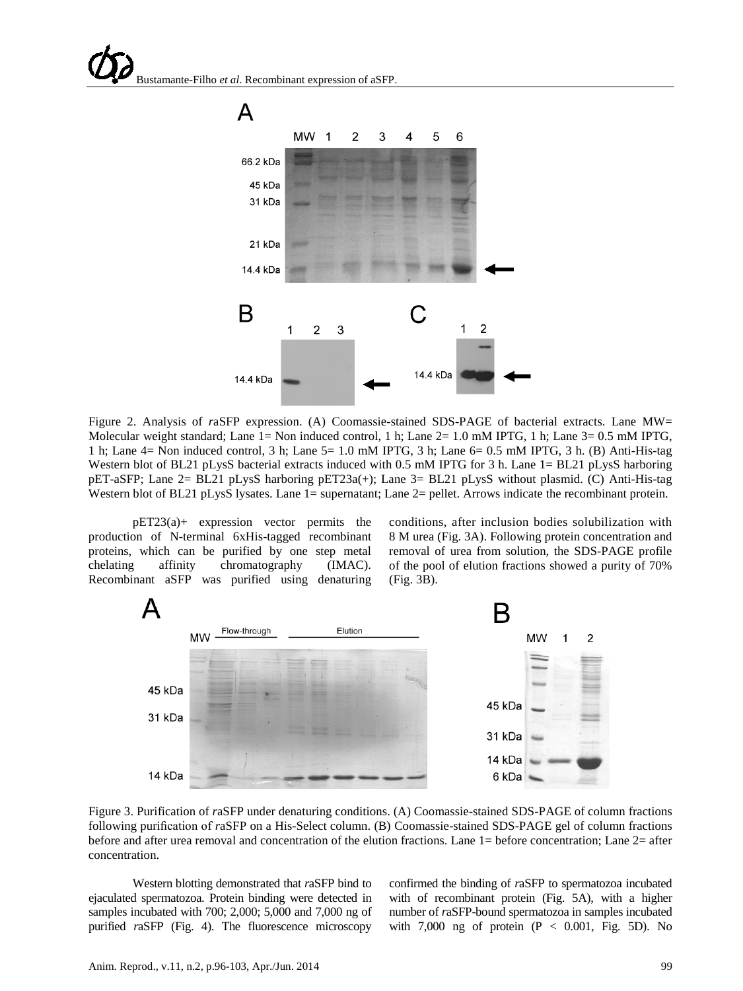

Figure 2. Analysis of *r*aSFP expression. (A) Coomassie-stained SDS-PAGE of bacterial extracts. Lane MW= Molecular weight standard; Lane 1= Non induced control, 1 h; Lane 2= 1.0 mM IPTG, 1 h; Lane 3= 0.5 mM IPTG, 1 h; Lane 4= Non induced control, 3 h; Lane 5= 1.0 mM IPTG, 3 h; Lane 6= 0.5 mM IPTG, 3 h. (B) Anti-His-tag Western blot of BL21 pLysS bacterial extracts induced with 0.5 mM IPTG for 3 h. Lane 1= BL21 pLysS harboring pET-aSFP; Lane 2= BL21 pLysS harboring pET23a(+); Lane 3= BL21 pLysS without plasmid. (C) Anti-His-tag Western blot of BL21 pLysS lysates. Lane 1= supernatant; Lane 2= pellet. Arrows indicate the recombinant protein.

pET23(a)+ expression vector permits the production of N-terminal 6xHis-tagged recombinant proteins, which can be purified by one step metal chelating affinity chromatography (IMAC). Recombinant aSFP was purified using denaturing conditions, after inclusion bodies solubilization with 8 M urea (Fig. 3A). Following protein concentration and removal of urea from solution, the SDS-PAGE profile of the pool of elution fractions showed a purity of 70% (Fig. 3B).



Figure 3. Purification of *r*aSFP under denaturing conditions. (A) Coomassie-stained SDS-PAGE of column fractions following purification of *r*aSFP on a His-Select column. (B) Coomassie-stained SDS-PAGE gel of column fractions before and after urea removal and concentration of the elution fractions. Lane 1= before concentration; Lane 2= after concentration.

Western blotting demonstrated that *r*aSFP bind to ejaculated spermatozoa. Protein binding were detected in samples incubated with 700; 2,000; 5,000 and 7,000 ng of purified *raSFP* (Fig. 4). The fluorescence microscopy

confirmed the binding of *r*aSFP to spermatozoa incubated with of recombinant protein (Fig. 5A), with a higher number of *r*aSFP-bound spermatozoa in samples incubated with 7,000 ng of protein  $(P < 0.001$ , Fig. 5D). No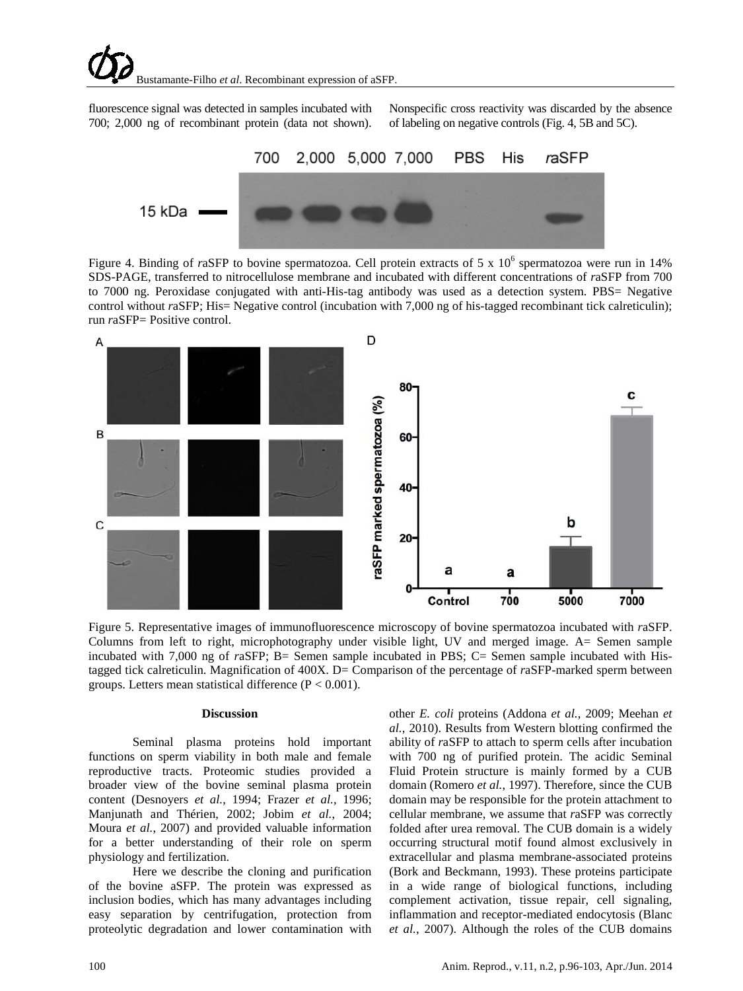fluorescence signal was detected in samples incubated with 700; 2,000 ng of recombinant protein (data not shown).

Nonspecific cross reactivity was discarded by the absence of labeling on negative controls (Fig. 4, 5B and 5C).



Figure 4. Binding of *raSFP* to bovine spermatozoa. Cell protein extracts of 5 x 10<sup>6</sup> spermatozoa were run in 14% SDS-PAGE, transferred to nitrocellulose membrane and incubated with different concentrations of *r*aSFP from 700 to 7000 ng. Peroxidase conjugated with anti-His-tag antibody was used as a detection system. PBS= Negative control without *raSFP*; His= Negative control (incubation with 7,000 ng of his-tagged recombinant tick calreticulin); run *r*aSFP= Positive control.



Figure 5. Representative images of immunofluorescence microscopy of bovine spermatozoa incubated with *r*aSFP. Columns from left to right, microphotography under visible light, UV and merged image. A= Semen sample incubated with 7,000 ng of *r*aSFP; B= Semen sample incubated in PBS; C= Semen sample incubated with Histagged tick calreticulin. Magnification of 400X. D= Comparison of the percentage of *r*aSFP-marked sperm between groups. Letters mean statistical difference  $(P < 0.001)$ .

#### **Discussion**

Seminal plasma proteins hold important functions on sperm viability in both male and female reproductive tracts. Proteomic studies provided a broader view of the bovine seminal plasma protein content [\(Desnoyers](#page-6-18) *et al.*, 1994; Frazer *et al.*[, 1996;](#page-6-19) Manjunath and Thérien, 2002; Jobim *et al.*[, 2004;](#page-6-5) Moura *et al.*[, 2007\)](#page-6-2) and provided valuable information for a better understanding of their role on sperm physiology and fertilization.

Here we describe the cloning and purification of the bovine aSFP. The protein was expressed as inclusion bodies, which has many advantages including easy separation by centrifugation, protection from proteolytic degradation and lower contamination with

other *E. coli* proteins [\(Addona](#page-5-4) *et al.*, 2009; [Meehan](#page-6-20) *et al.*[, 2010\)](#page-6-20). Results from Western blotting confirmed the ability of *r*aSFP to attach to sperm cells after incubation with 700 ng of purified protein. The acidic Seminal Fluid Protein structure is mainly formed by a CUB domain [\(Romero](#page-7-4) *et al.*, 1997). Therefore, since the CUB domain may be responsible for the protein attachment to cellular membrane, we assume that *r*aSFP was correctly folded after urea removal. The CUB domain is a widely occurring structural motif found almost exclusively in extracellular and plasma membrane-associated proteins [\(Bork and Beckmann, 1993\)](#page-6-21). These proteins participate in a wide range of biological functions, including complement activation, tissue repair, cell signaling, inflammation and receptor-mediated endocytosis [\(Blanc](#page-5-5) *et al.*[, 2007\)](#page-5-5). Although the roles of the CUB domains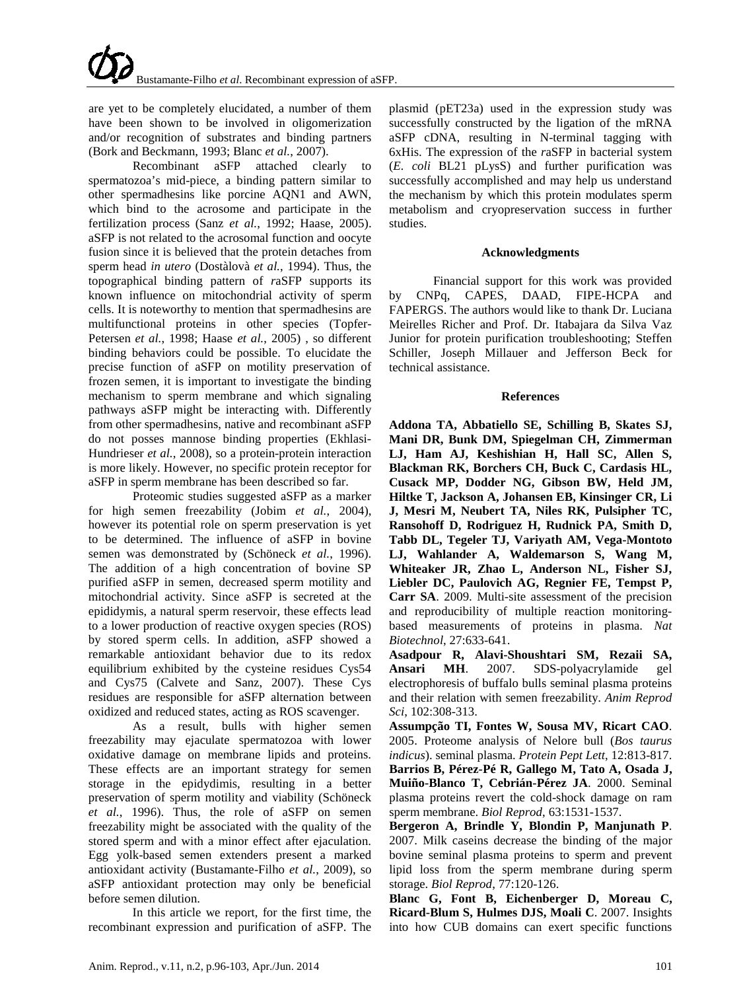are yet to be completely elucidated, a number of them have been shown to be involved in oligomerization and/or recognition of substrates and binding partners [\(Bork and Beckmann, 1993;](#page-6-21) Blanc *et al.*[, 2007\)](#page-5-5).

Recombinant aSFP attached clearly to spermatozoa's mid-piece, a binding pattern similar to other spermadhesins like porcine AQN1 and AWN, which bind to the acrosome and participate in the fertilization process (Sanz *et al.*, 1992; [Haase, 2005\)](#page-7-5). aSFP is not related to the acrosomal function and oocyte fusion since it is believed that the protein detaches from sperm head *in utero* (Dostàlovà *et al.*, 1994). Thus, the topographical binding pattern of *r*aSFP supports its known influence on mitochondrial activity of sperm cells. It is noteworthy to mention that spermadhesins are multifunctional proteins in other species [\(Topfer-](#page-7-6)[Petersen](#page-7-6) *et al.*, 1998; Haase *et al.*[, 2005\)](#page-6-22) , so different binding behaviors could be possible. To elucidate the precise function of aSFP on motility preservation of frozen semen, it is important to investigate the binding mechanism to sperm membrane and which signaling pathways aSFP might be interacting with. Differently from other spermadhesins, native and recombinant aSFP do not posses mannose binding properties [\(Ekhlasi-](#page-6-14)[Hundrieser](#page-6-14) *et al.*, 2008), so a protein-protein interaction is more likely. However, no specific protein receptor for aSFP in sperm membrane has been described so far.

Proteomic studies suggested aSFP as a marker for high semen freezability (Jobim *et al.*[, 2004\)](#page-6-5), however its potential role on sperm preservation is yet to be determined. The influence of aSFP in bovine semen was demonstrated by [\(Schöneck](#page-7-7) *et al.*, 1996). The addition of a high concentration of bovine SP purified aSFP in semen, decreased sperm motility and mitochondrial activity. Since aSFP is secreted at the epididymis, a natural sperm reservoir, these effects lead to a lower production of reactive oxygen species (ROS) by stored sperm cells. In addition, aSFP showed a remarkable antioxidant behavior due to its redox equilibrium exhibited by the cysteine residues Cys54 and Cys75 [\(Calvete and Sanz, 2007\)](#page-6-23). These Cys residues are responsible for aSFP alternation between oxidized and reduced states, acting as ROS scavenger.

As a result, bulls with higher semen freezability may ejaculate spermatozoa with lower oxidative damage on membrane lipids and proteins. These effects are an important strategy for semen storage in the epidydimis, resulting in a better preservation of sperm motility and viability [\(Schöneck](#page-7-7) *et al.*[, 1996\)](#page-7-7). Thus, the role of aSFP on semen freezability might be associated with the quality of the stored sperm and with a minor effect after ejaculation. Egg yolk-based semen extenders present a marked antioxidant activity [\(Bustamante-Filho](#page-6-24) *et al.*, 2009), so aSFP antioxidant protection may only be beneficial before semen dilution.

In this article we report, for the first time, the recombinant expression and purification of aSFP. The plasmid (pET23a) used in the expression study was successfully constructed by the ligation of the mRNA aSFP cDNA, resulting in N-terminal tagging with 6xHis. The expression of the *r*aSFP in bacterial system (*E. coli* BL21 pLysS) and further purification was successfully accomplished and may help us understand the mechanism by which this protein modulates sperm metabolism and cryopreservation success in further studies.

## **Acknowledgments**

Financial support for this work was provided by CNPq, CAPES, DAAD, FIPE-HCPA and FAPERGS. The authors would like to thank Dr. Luciana Meirelles Richer and Prof. Dr. Itabajara da Silva Vaz Junior for protein purification troubleshooting; Steffen Schiller, Joseph Millauer and Jefferson Beck for technical assistance.

## **References**

<span id="page-5-4"></span>**Addona TA, Abbatiello SE, Schilling B, Skates SJ, Mani DR, Bunk DM, Spiegelman CH, Zimmerman LJ, Ham AJ, Keshishian H, Hall SC, Allen S, Blackman RK, Borchers CH, Buck C, Cardasis HL, Cusack MP, Dodder NG, Gibson BW, Held JM, Hiltke T, Jackson A, Johansen EB, Kinsinger CR, Li J, Mesri M, Neubert TA, Niles RK, Pulsipher TC, Ransohoff D, Rodriguez H, Rudnick PA, Smith D, Tabb DL, Tegeler TJ, Variyath AM, Vega-Montoto LJ, Wahlander A, Waldemarson S, Wang M, Whiteaker JR, Zhao L, Anderson NL, Fisher SJ, Liebler DC, Paulovich AG, Regnier FE, Tempst P, Carr SA**. 2009. Multi-site assessment of the precision and reproducibility of multiple reaction monitoringbased measurements of proteins in plasma. *Nat Biotechnol*, 27:633-641.

<span id="page-5-3"></span>**Asadpour R, Alavi-Shoushtari SM, Rezaii SA, Ansari MH**. 2007. SDS-polyacrylamide gel electrophoresis of buffalo bulls seminal plasma proteins and their relation with semen freezability. *Anim Reprod Sci*, 102:308-313.

<span id="page-5-2"></span><span id="page-5-0"></span>**Assumpção TI, Fontes W, Sousa MV, Ricart CAO**. 2005. Proteome analysis of Nelore bull (*Bos taurus indicus*). seminal plasma. *Protein Pept Lett*, 12:813-817. **Barrios B, Pérez-Pé R, Gallego M, Tato A, Osada J, Muiño-Blanco T, Cebrián-Pérez JA**. 2000. Seminal plasma proteins revert the cold-shock damage on ram sperm membrane. *Biol Reprod*, 63:1531-1537.

<span id="page-5-1"></span>**Bergeron A, Brindle Y, Blondin P, Manjunath P**. 2007. Milk caseins decrease the binding of the major bovine seminal plasma proteins to sperm and prevent lipid loss from the sperm membrane during sperm storage. *Biol Reprod*, 77:120-126.

<span id="page-5-5"></span>**Blanc G, Font B, Eichenberger D, Moreau C, Ricard-Blum S, Hulmes DJS, Moali C**. 2007. Insights into how CUB domains can exert specific functions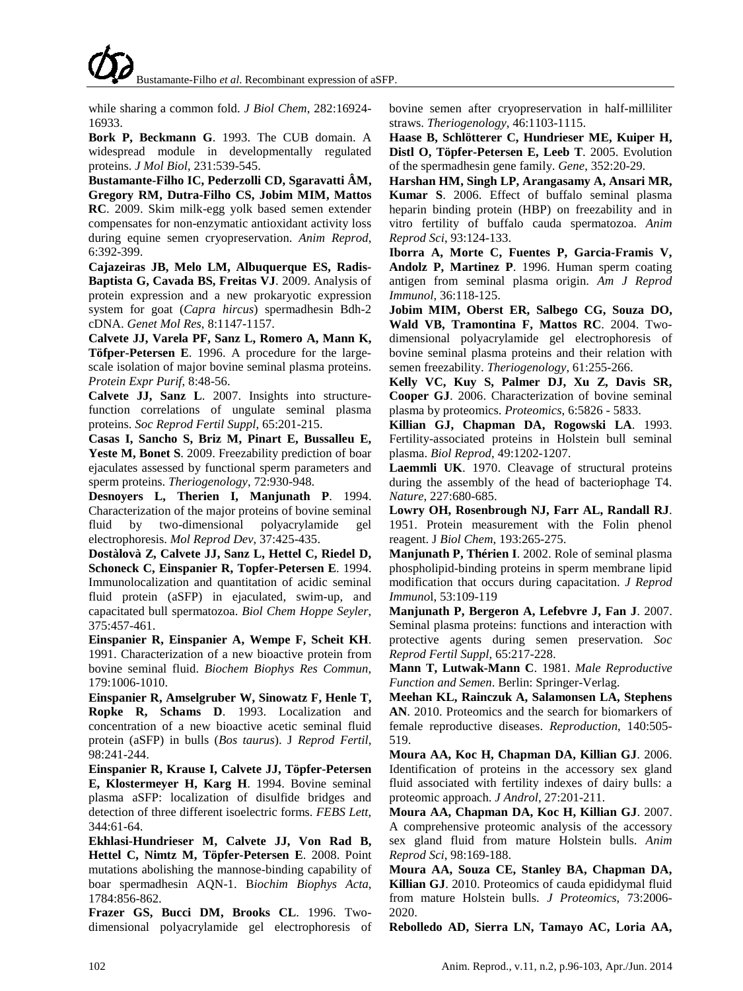while sharing a common fold. *J Biol Chem*, 282:16924- 16933.

<span id="page-6-21"></span>**Bork P, Beckmann G**. 1993. The CUB domain. A widespread module in developmentally regulated proteins. *J Mol Biol*, 231:539-545.

<span id="page-6-24"></span>**Bustamante-Filho IC, Pederzolli CD, Sgaravatti ÂM, Gregory RM, Dutra-Filho CS, Jobim MIM, Mattos RC**. 2009. Skim milk-egg yolk based semen extender compensates for non-enzymatic antioxidant activity loss during equine semen cryopreservation. *Anim Reprod*, 6:392-399.

<span id="page-6-15"></span>**Cajazeiras JB, Melo LM, Albuquerque ES, Radis-Baptista G, Cavada BS, Freitas VJ**. 2009. Analysis of protein expression and a new prokaryotic expression system for goat (*Capra hircus*) spermadhesin Bdh-2 cDNA. *Genet Mol Res*, 8:1147-1157.

**Calvete JJ, Varela PF, Sanz L, Romero A, Mann K, Töfper-Petersen E**. 1996. A procedure for the largescale isolation of major bovine seminal plasma proteins. *Protein Expr Purif*, 8:48-56.

<span id="page-6-23"></span>**Calvete JJ, Sanz L**. 2007. Insights into structurefunction correlations of ungulate seminal plasma proteins. *Soc Reprod Fertil Suppl*, 65:201-215.

<span id="page-6-9"></span>**Casas I, Sancho S, Briz M, Pinart E, Bussalleu E, Yeste M, Bonet S**. 2009. Freezability prediction of boar ejaculates assessed by functional sperm parameters and sperm proteins. *Theriogenology*, 72:930-948.

<span id="page-6-18"></span>**Desnoyers L, Therien I, Manjunath P**. 1994. Characterization of the major proteins of bovine seminal fluid by two-dimensional polyacrylamide gel electrophoresis. *Mol Reprod Dev*, 37:425-435.

<span id="page-6-11"></span>**Dostàlovà Z, Calvete JJ, Sanz L, Hettel C, Riedel D, Schoneck C, Einspanier R, Topfer-Petersen E**. 1994. Immunolocalization and quantitation of acidic seminal fluid protein (aSFP) in ejaculated, swim-up, and capacitated bull spermatozoa. *Biol Chem Hoppe Seyler*, 375:457-461.

**Einspanier R, Einspanier A, Wempe F, Scheit KH**. 1991. Characterization of a new bioactive protein from bovine seminal fluid. *Biochem Biophys Res Commun*, 179:1006-1010.

<span id="page-6-10"></span>**Einspanier R, Amselgruber W, Sinowatz F, Henle T, Ropke R, Schams D**. 1993. Localization and concentration of a new bioactive acetic seminal fluid protein (aSFP) in bulls (*Bos taurus*). J *Reprod Fertil*, 98:241-244.

<span id="page-6-13"></span>**Einspanier R, Krause I, Calvete JJ, Töpfer-Petersen E, Klostermeyer H, Karg H**. 1994. Bovine seminal plasma aSFP: localization of disulfide bridges and detection of three different isoelectric forms. *FEBS Lett*, 344:61-64.

<span id="page-6-14"></span>**Ekhlasi-Hundrieser M, Calvete JJ, Von Rad B, Hettel C, Nimtz M, Töpfer-Petersen E**. 2008. Point mutations abolishing the mannose-binding capability of boar spermadhesin AQN-1. B*iochim Biophys Acta*, 1784:856-862.

<span id="page-6-19"></span>**Frazer GS, Bucci DM, Brooks CL**. 1996. Twodimensional polyacrylamide gel electrophoresis of bovine semen after cryopreservation in half-milliliter straws. *Theriogenology*, 46:1103-1115.

<span id="page-6-22"></span>**Haase B, Schlötterer C, Hundrieser ME, Kuiper H, Distl O, Töpfer-Petersen E, Leeb T**. 2005. Evolution of the spermadhesin gene family. *Gene*, 352:20-29.

<span id="page-6-8"></span>**Harshan HM, Singh LP, Arangasamy A, Ansari MR, Kumar S**. 2006. Effect of buffalo seminal plasma heparin binding protein (HBP) on freezability and in vitro fertility of buffalo cauda spermatozoa. *Anim Reprod Sci*, 93:124-133.

<span id="page-6-4"></span>**Iborra A, Morte C, Fuentes P, Garcia-Framis V, Andolz P, Martinez P**. 1996. Human sperm coating antigen from seminal plasma origin. *Am J Reprod Immunol*, 36:118-125.

<span id="page-6-5"></span>**Jobim MIM, Oberst ER, Salbego CG, Souza DO, Wald VB, Tramontina F, Mattos RC**. 2004. Twodimensional polyacrylamide gel electrophoresis of bovine seminal plasma proteins and their relation with semen freezability. *Theriogenology*, 61:255-266.

<span id="page-6-1"></span>**Kelly VC, Kuy S, Palmer DJ, Xu Z, Davis SR, Cooper GJ**. 2006. Characterization of bovine seminal plasma by proteomics. *Proteomics*, 6:5826 - 5833.

<span id="page-6-3"></span>**Killian GJ, Chapman DA, Rogowski LA**. 1993. Fertility-associated proteins in Holstein bull seminal plasma. *Biol Reprod*, 49:1202-1207.

<span id="page-6-17"></span>**Laemmli UK**. 1970. Cleavage of structural proteins during the assembly of the head of bacteriophage T4. *Nature*, 227:680-685.

<span id="page-6-16"></span>**Lowry OH, Rosenbrough NJ, Farr AL, Randall RJ**. 1951. Protein measurement with the Folin phenol reagent. J *Biol Chem*, 193:265-275.

<span id="page-6-6"></span>**Manjunath P, Thérien I**. 2002. Role of seminal plasma phospholipid-binding proteins in sperm membrane lipid modification that occurs during capacitation. *J Reprod Immuno*l, 53:109-119

**Manjunath P, Bergeron A, Lefebvre J, Fan J**. 2007. Seminal plasma proteins: functions and interaction with protective agents during semen preservation. *Soc Reprod Fertil Suppl*, 65:217-228.

<span id="page-6-0"></span>**Mann T, Lutwak-Mann C**. 1981. *Male Reproductive Function and Semen*. Berlin: Springer-Verlag.

<span id="page-6-20"></span>**Meehan KL, Rainczuk A, Salamonsen LA, Stephens AN**. 2010. Proteomics and the search for biomarkers of female reproductive diseases. *Reproduction*, 140:505- 519.

**Moura AA, Koc H, Chapman DA, Killian GJ**. 2006. Identification of proteins in the accessory sex gland fluid associated with fertility indexes of dairy bulls: a proteomic approach. *J Androl*, 27:201-211.

<span id="page-6-2"></span>**Moura AA, Chapman DA, Koc H, Killian GJ**. 2007. A comprehensive proteomic analysis of the accessory sex gland fluid from mature Holstein bulls. *Anim Reprod Sci*, 98:169-188.

<span id="page-6-12"></span>**Moura AA, Souza CE, Stanley BA, Chapman DA, Killian GJ**. 2010. Proteomics of cauda epididymal fluid from mature Holstein bulls. *J Proteomics*, 73:2006- 2020.

<span id="page-6-7"></span>**Rebolledo AD, Sierra LN, Tamayo AC, Loria AA,**